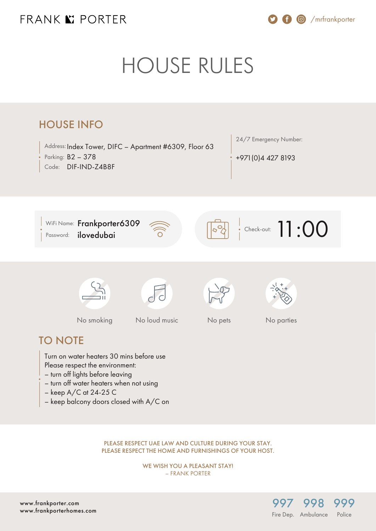# FRANK K PORTER

/mrfrankporter

# HOUSE RULES



PLEASE RESPECT UAE LAW AND CULTURE DURING YOUR STAY. PLEASE RESPECT THE HOME AND FURNISHINGS OF YOUR HOST.

> WE WISH YOU A PLEASANT STAY! – FRANK PORTER

> > [997](#page--1-0)

Fire Dep. Ambulance

[998](#page--1-0)

[999](#page--1-0) **Police** 

[www.frankporter.com](https://www.frankporter.com) [www.frankporterhomes.com](https://www.frankporterhomes.com)